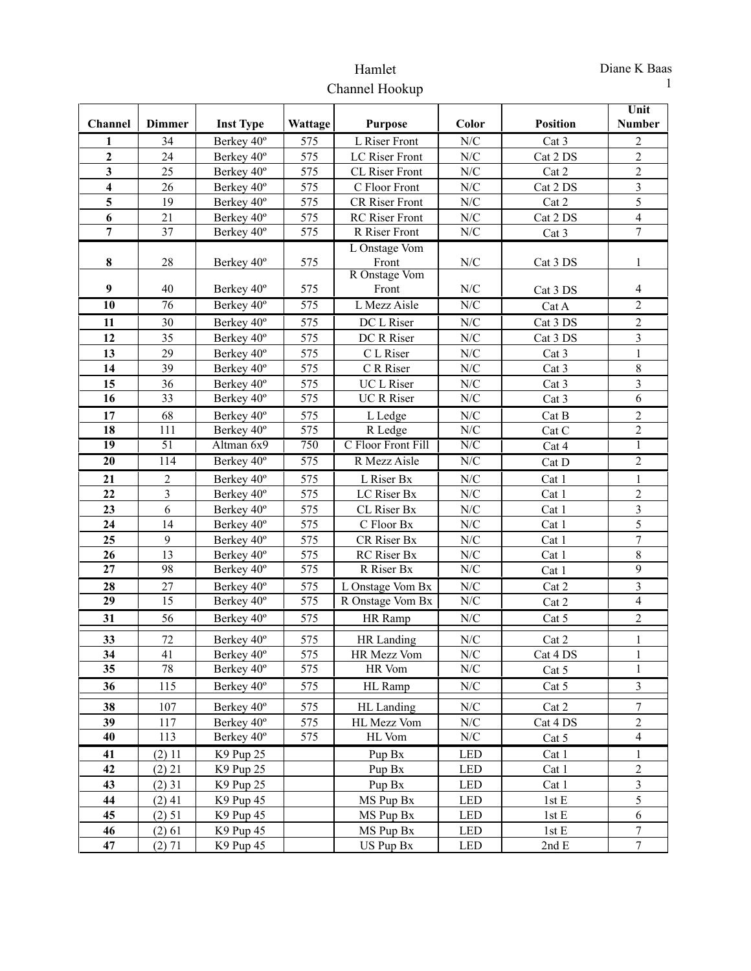## Hamlet Channel Hookup

|                         |                 |                          |                          |                                       |                                                             |                   | Unit                                      |
|-------------------------|-----------------|--------------------------|--------------------------|---------------------------------------|-------------------------------------------------------------|-------------------|-------------------------------------------|
| <b>Channel</b>          | <b>Dimmer</b>   | <b>Inst Type</b>         | Wattage                  | <b>Purpose</b>                        | Color                                                       | <b>Position</b>   | <b>Number</b>                             |
| 1                       | 34              | Berkey 40°               | 575                      | L Riser Front                         | $\ensuremath{\text{N}}\xspace/\ensuremath{\text{C}}$        | Cat 3             | 2                                         |
| 2                       | 24              | Berkey 40°               | 575                      | LC Riser Front                        | N/C                                                         | Cat 2 DS          | $\overline{c}$                            |
| $\mathbf{3}$            | 25              | Berkey 40°               | 575                      | <b>CL Riser Front</b>                 | $\ensuremath{\text{N}}\xspace/\ensuremath{\text{C}}$        | Cat 2             | $\overline{c}$                            |
| $\overline{\mathbf{4}}$ | 26              | Berkey 40°               | 575                      | C Floor Front                         | $\ensuremath{\text{N}}\xspace/\ensuremath{\text{C}}$        | Cat 2 DS          | $\overline{\mathbf{3}}$                   |
| 5                       | 19              | Berkey 40°               | 575                      | CR Riser Front                        | $\ensuremath{\text{N}}\xspace/\ensuremath{\text{C}}$        | Cat 2             | $\overline{5}$                            |
| 6                       | 21              | Berkey 40°               | 575                      | <b>RC</b> Riser Front                 | $\ensuremath{\text{N}}\xspace/\ensuremath{\text{C}}$        | Cat 2 DS          | $\overline{4}$                            |
| $\overline{7}$          | 37              | Berkey 40°               | 575                      | R Riser Front                         | N/C                                                         | Cat 3             | $\overline{7}$                            |
|                         |                 |                          |                          | L Onstage Vom                         |                                                             |                   |                                           |
| $\bf 8$                 | 28              | Berkey 40°               | 575                      | Front                                 | $\ensuremath{\text{N}}\xspace/\ensuremath{\text{C}}$        | Cat 3 DS          | 1                                         |
| 9                       | 40              | Berkey 40°               | 575                      | R Onstage Vom<br>Front                | N/C                                                         |                   | 4                                         |
| $\overline{10}$         | $\overline{76}$ | Berkey 40°               | 575                      | L Mezz Aisle                          | N/C                                                         | Cat 3 DS<br>Cat A | $\overline{2}$                            |
|                         |                 |                          |                          |                                       |                                                             |                   |                                           |
| 11<br>12                | 30<br>35        | Berkey 40°               | 575<br>575               | DC L Riser                            | $\ensuremath{\text{N}}\xspace/\ensuremath{\text{C}}$        | Cat 3 DS          | $\overline{c}$                            |
|                         | 29              | Berkey 40°               |                          | DC R Riser                            | $\ensuremath{\text{N}}\xspace/\ensuremath{\text{C}}$        | Cat 3 DS          | $\overline{\mathbf{3}}$                   |
| 13                      |                 | Berkey 40°               | 575                      | C L Riser                             | $\ensuremath{\text{N}}\xspace/\ensuremath{\text{C}}$        | Cat 3             | $\mathbf{1}$                              |
| 14                      | 39              | Berkey 40°               | 575                      | C R Riser                             | $\ensuremath{\text{N}}\xspace/\ensuremath{\text{C}}$        | Cat 3             | $\,8\,$                                   |
| 15<br>16                | 36<br>33        | Berkey 40°<br>Berkey 40° | 575<br>575               | <b>UCL</b> Riser<br><b>UC R Riser</b> | N/C<br>$\ensuremath{\text{N}}\xspace/\ensuremath{\text{C}}$ | Cat 3             | $\overline{\mathbf{3}}$<br>$\overline{6}$ |
|                         |                 |                          |                          |                                       |                                                             | Cat 3             |                                           |
| 17<br>18                | 68<br>111       | Berkey 40°               | 575<br>$\frac{575}{575}$ | L Ledge                               | N/C<br>N/C                                                  | Cat B             | $\sqrt{2}$<br>$\overline{2}$              |
| 19                      | 51              | Berkey 40°               | 750                      | R Ledge<br>C Floor Front Fill         | N/C                                                         | Cat C             |                                           |
|                         |                 | Altman 6x9               |                          |                                       |                                                             | Cat 4             | $\mathbf{1}$                              |
| 20                      | 114             | Berkey 40°               | 575                      | R Mezz Aisle                          | N/C                                                         | Cat D             | $\overline{2}$                            |
| 21                      | $\overline{c}$  | Berkey 40°               | 575                      | L Riser Bx                            | $\ensuremath{\text{N}}\xspace/\ensuremath{\text{C}}$        | Cat 1             | $\mathbf{1}$                              |
| 22                      | $\overline{3}$  | Berkey 40°               | 575                      | LC Riser Bx                           | ${\rm N/C}$                                                 | Cat 1             | $\sqrt{2}$                                |
| 23                      | 6               | Berkey 40°               | 575                      | CL Riser Bx                           | $\ensuremath{\text{N}}\slash\ensuremath{\text{C}}$          | Cat 1             | $\overline{\mathbf{3}}$                   |
| 24                      | 14              | Berkey 40°               | 575                      | $\mathrm C$ Floor Bx                  | N/C                                                         | Cat 1             | 5                                         |
| 25                      | 9               | Berkey 40°               | 575                      | CR Riser Bx                           | $\ensuremath{\text{N}}\xspace/\ensuremath{\text{C}}$        | Cat 1             | $\tau$                                    |
| 26                      | 13              | Berkey 40°               | 575                      | RC Riser Bx                           | ${\rm N\hspace{-1pt}N\hspace{-1pt}C}$                       | Cat 1             | $8\,$                                     |
| 27                      | 98              | Berkey 40°               | 575                      | R Riser Bx                            | N/C                                                         | Cat 1             | $\overline{9}$                            |
| 28                      | 27              | Berkey 40°               | 575                      | L Onstage Vom Bx                      | $\ensuremath{\text{N}}\xspace/\ensuremath{\text{C}}$        | Cat 2             | $\overline{\mathbf{3}}$                   |
| 29                      | $\overline{15}$ | Berkey 40°               | 575                      | R Onstage Vom Bx                      | N/C                                                         | Cat 2             | $\overline{4}$                            |
| 31                      | 56              | Berkey 40°               | 575                      | HR Ramp                               | N/C                                                         | Cat 5             | $\boldsymbol{2}$                          |
| 33                      | 72              | Berkey 40°               | 575                      | HR Landing                            | N/C                                                         | Cat 2             | $\mathbf{1}$                              |
| $\overline{34}$         | 41              | Berkey 40°               | 575                      | HR Mezz Vom                           | N/C                                                         | Cat 4 DS          | $\,1$                                     |
| 35                      | 78              | Berkey 40°               | 575                      | HR Vom                                | ${\rm N/C}$                                                 | Cat 5             | $\mathbf{1}$                              |
| 36                      | 115             | Berkey 40°               | 575                      | HL Ramp                               | N/C                                                         | Cat 5             | $\mathfrak{Z}$                            |
| 38                      | 107             | Berkey 40°               | 575                      | HL Landing                            | N/C                                                         | Cat 2             | 7                                         |
| 39                      | 117             | Berkey 40°               | 575                      | HL Mezz Vom                           | N/C                                                         | Cat 4 DS          | $\overline{c}$                            |
| 40                      | 113             | Berkey 40°               | 575                      | HL Vom                                | N/C                                                         | Cat 5             | $\overline{4}$                            |
| 41                      | (2) 11          | K9 Pup 25                |                          | Pup Bx                                | <b>LED</b>                                                  | Cat 1             | $\mathbf{1}$                              |
| 42                      | $(2)$ 21        | K9 Pup 25                |                          | Pup Bx                                | <b>LED</b>                                                  | Cat 1             | $\overline{c}$                            |
| 43                      | $(2)$ 31        | K9 Pup 25                |                          | Pup Bx                                | <b>LED</b>                                                  | Cat 1             | $\overline{\mathbf{3}}$                   |
| 44                      | $(2)$ 41        | K9 Pup 45                |                          | MS Pup Bx                             | <b>LED</b>                                                  | 1stE              | 5                                         |
| 45                      | (2) 51          | K9 Pup 45                |                          | MS Pup Bx                             | <b>LED</b>                                                  | 1stE              | 6                                         |
| 46                      | (2) 61          | K9 Pup 45                |                          | MS Pup Bx                             | <b>LED</b>                                                  | 1stE              | $\tau$                                    |
| 47                      | (2) 71          | K9 Pup 45                |                          | US Pup Bx                             | <b>LED</b>                                                  | 2nd E             | $\overline{7}$                            |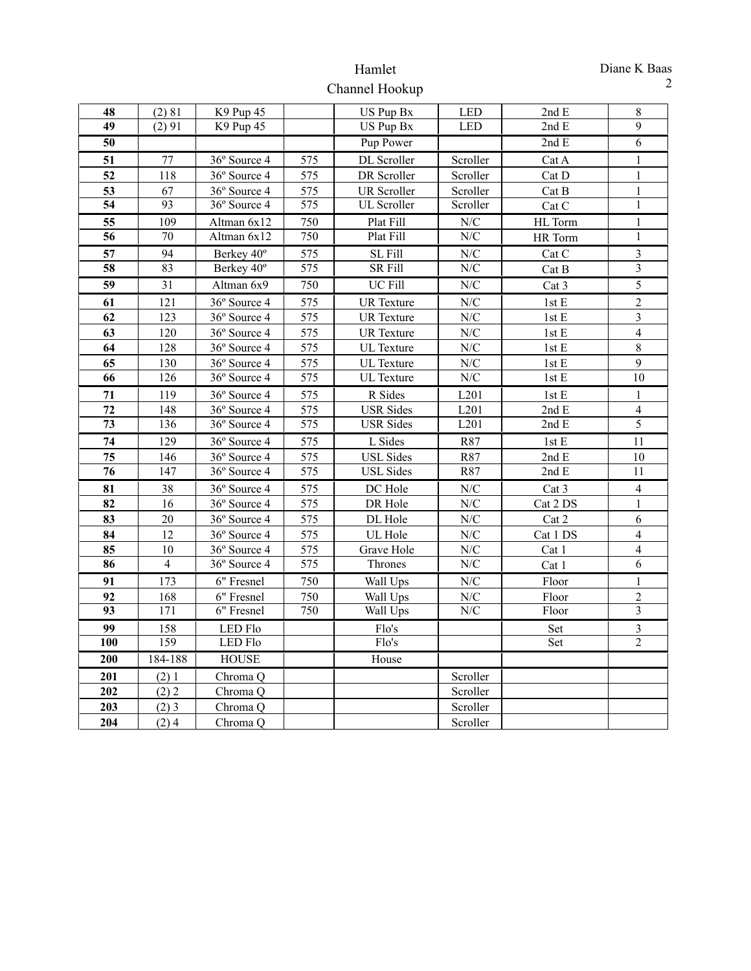## Hamlet Channel Hookup

| 48               | (2) 81          | K9 Pup 45                |                  | US Pup Bx          | <b>LED</b>                                         | 2ndE     | $\,8\,$        |
|------------------|-----------------|--------------------------|------------------|--------------------|----------------------------------------------------|----------|----------------|
| 49               | (2) 91          | K9 Pup 45                |                  | US Pup Bx          | <b>LED</b>                                         | 2ndE     | 9              |
| 50               |                 |                          |                  | Pup Power          |                                                    | 2ndE     | $\overline{6}$ |
| 51               | 77              | 36° Source 4             | 575              | DL Scroller        | Scroller                                           | Cat A    | 1              |
| 52               | 118             | 36° Source 4             | 575              | DR Scroller        | Scroller                                           | Cat D    | 1              |
| 53               | 67              | 36° Source 4             | 575              | <b>UR</b> Scroller | Scroller                                           | Cat B    | $\mathbf{1}$   |
| 54               | 93              | $36°$ Source 4           | 575              | <b>UL</b> Scroller | Scroller                                           | Cat C    | $\mathbf{1}$   |
| 55               | 109             | Altman 6x12              | 750              | Plat Fill          | N/C                                                | HL Torm  | $\mathbf{1}$   |
| $\overline{56}$  | 70              | Altman $6x\overline{12}$ | 750              | Plat Fill          | N/C                                                | HR Torm  | 1              |
| 57               | 94              | Berkey 40°               | 575              | SL Fill            | N/C                                                | Cat C    | 3              |
| 58               | 83              | Berkey 40°               | 575              | <b>SR Fill</b>     | N/C                                                | Cat B    | $\overline{3}$ |
| $\overline{59}$  | $\overline{31}$ | Altman $6x9$             | 750              | <b>UC Fill</b>     | N/C                                                | Cat 3    | 5              |
| 61               | 121             | 36° Source 4             | 575              | <b>UR</b> Texture  | N/C                                                | 1stE     | $\overline{2}$ |
| 62               | 123             | 36° Source 4             | 575              | <b>UR</b> Texture  | $\ensuremath{\text{N}}\slash\ensuremath{\text{C}}$ | $1stE$   | $\overline{3}$ |
| 63               | 120             | 36° Source 4             | 575              | <b>UR</b> Texture  | N/C                                                | 1st E    | $\overline{4}$ |
| 64               | 128             | 36° Source 4             | 575              | <b>UL</b> Texture  | N/C                                                | $1stE$   | 8              |
| 65               | 130             | 36° Source 4             | 575              | <b>UL</b> Texture  | ${\rm N/C}$                                        | 1stE     | 9              |
| 66               | 126             | 36° Source 4             | 575              | <b>UL</b> Texture  | N/C                                                | 1stE     | 10             |
| 71               | 119             | 36° Source 4             | 575              | R Sides            | L201                                               | 1stE     | 1              |
| 72               | 148             | 36° Source 4             | 575              | <b>USR Sides</b>   | L201                                               | 2ndE     | $\overline{4}$ |
| 73               | 136             | 36° Source 4             | $\overline{575}$ | <b>USR</b> Sides   | L201                                               | 2ndE     | $\overline{5}$ |
| 74               | 129             | 36° Source 4             | 575              | L Sides            | R87                                                | 1stE     | 11             |
| 75               | 146             | 36° Source 4             | 575              | <b>USL Sides</b>   | R87                                                | 2ndE     | 10             |
| 76               | 147             | 36° Source 4             | 575              | <b>USL Sides</b>   | R87                                                | 2ndE     | 11             |
| 81               | 38              | 36° Source 4             | 575              | DC Hole            | N/C                                                | Cat 3    | $\overline{4}$ |
| 82               | 16              | 36° Source 4             | 575              | DR Hole            | N/C                                                | Cat 2 DS | 1              |
| 83               | 20              | 36° Source 4             | 575              | DL Hole            | N/C                                                | Cat 2    | 6              |
| 84               | 12              | 36° Source 4             | 575              | UL Hole            | N/C                                                | Cat 1 DS | $\overline{4}$ |
| 85               | 10              | 36° Source 4             | 575              | Grave Hole         | N/C                                                | Cat 1    | $\overline{4}$ |
| 86               | $\overline{4}$  | 36° Source 4             | 575              | Thrones            | N/C                                                | Cat 1    | 6              |
| 91               | 173             | 6" Fresnel               | 750              | Wall Ups           | N/C                                                | Floor    | $\mathbf{1}$   |
| 92               | 168             | 6" Fresnel               | 750              | Wall Ups           | ${\rm N/C}$                                        | Floor    | $\overline{2}$ |
| 93               | 171             | 6" Fresnel               | 750              | Wall Ups           | N/C                                                | Floor    | $\overline{3}$ |
| 99               | 158             | <b>LED Flo</b>           |                  | Flo's              |                                                    | Set      | $\overline{3}$ |
| 100              | 159             | <b>LED Flo</b>           |                  | Flo's              |                                                    | Set      | $\overline{2}$ |
| $\overline{200}$ | 184-188         | <b>HOUSE</b>             |                  | House              |                                                    |          |                |
| 201              | (2)1            | Chroma <sub>Q</sub>      |                  |                    | Scroller                                           |          |                |
| 202              | (2) 2           | Chroma O                 |                  |                    | Scroller                                           |          |                |
| 203              | $(2)$ 3         | Chroma <sub>Q</sub>      |                  |                    | Scroller                                           |          |                |
| 204              | (2)4            | Chroma <sub>Q</sub>      |                  |                    | Scroller                                           |          |                |